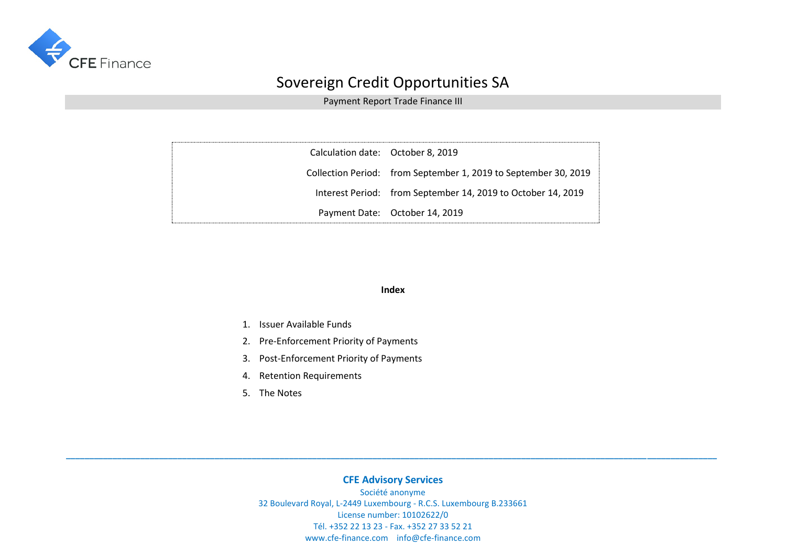

Payment Report Trade Finance III

| Calculation date: October 8, 2019 |                                                                 |
|-----------------------------------|-----------------------------------------------------------------|
|                                   | Collection Period: from September 1, 2019 to September 30, 2019 |
|                                   | Interest Period: from September 14, 2019 to October 14, 2019    |
|                                   | Payment Date: October 14, 2019                                  |

#### **Index**

- 1. Issuer Available Funds
- 2. Pre-Enforcement Priority of Payments
- 3. Post-Enforcement Priority of Payments
- 4. Retention Requirements
- 5. The Notes

### **CFE Advisory Services**

**\_\_\_\_\_\_\_\_\_\_\_\_\_\_\_\_\_\_\_\_\_\_\_\_\_\_\_\_\_\_\_\_\_\_\_\_\_\_\_\_\_\_\_\_\_\_\_\_\_\_\_\_\_\_\_\_\_\_\_\_\_\_\_\_\_\_\_\_\_\_\_\_\_\_\_\_\_\_\_\_\_\_\_\_\_\_\_\_\_\_\_\_\_\_\_\_\_\_\_\_\_\_\_\_\_\_\_\_\_\_\_\_\_\_\_\_\_\_\_\_\_\_\_\_\_\_\_\_\_\_\_\_\_\_\_\_\_\_\_\_**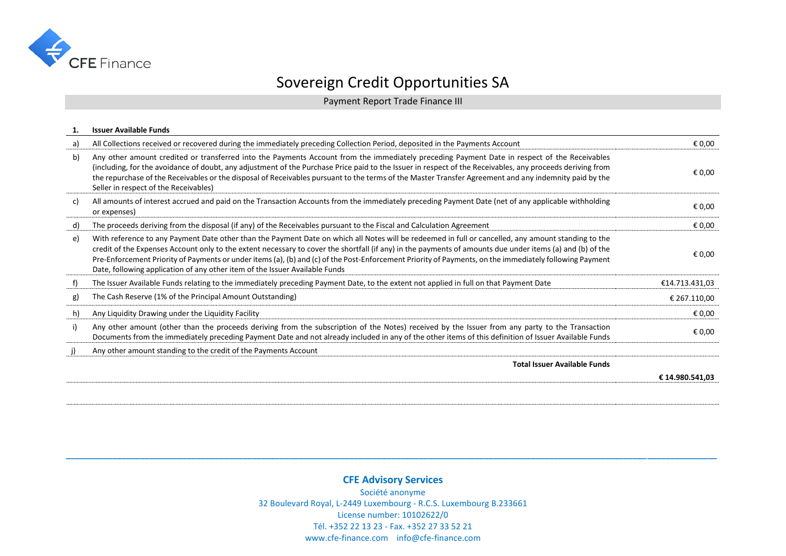

Payment Report Trade Finance III

|    | <b>Issuer Available Funds</b>                                                                                                                                                                                                                                                                                                                                                                                                                                                                                                                              |                 |
|----|------------------------------------------------------------------------------------------------------------------------------------------------------------------------------------------------------------------------------------------------------------------------------------------------------------------------------------------------------------------------------------------------------------------------------------------------------------------------------------------------------------------------------------------------------------|-----------------|
| a) | All Collections received or recovered during the immediately preceding Collection Period, deposited in the Payments Account                                                                                                                                                                                                                                                                                                                                                                                                                                | € 0,00          |
| b) | Any other amount credited or transferred into the Payments Account from the immediately preceding Payment Date in respect of the Receivables<br>(including, for the avoidance of doubt, any adjustment of the Purchase Price paid to the Issuer in respect of the Receivables, any proceeds deriving from<br>the repurchase of the Receivables or the disposal of Receivables pursuant to the terms of the Master Transfer Agreement and any indemnity paid by the<br>Seller in respect of the Receivables)                                                | € 0,00          |
| c) | All amounts of interest accrued and paid on the Transaction Accounts from the immediately preceding Payment Date (net of any applicable withholding<br>or expenses)                                                                                                                                                                                                                                                                                                                                                                                        | € 0,00          |
| d) | The proceeds deriving from the disposal (if any) of the Receivables pursuant to the Fiscal and Calculation Agreement                                                                                                                                                                                                                                                                                                                                                                                                                                       | € 0.00          |
| e) | With reference to any Payment Date other than the Payment Date on which all Notes will be redeemed in full or cancelled, any amount standing to the<br>credit of the Expenses Account only to the extent necessary to cover the shortfall (if any) in the payments of amounts due under items (a) and (b) of the<br>Pre-Enforcement Priority of Payments or under items (a), (b) and (c) of the Post-Enforcement Priority of Payments, on the immediately following Payment<br>Date, following application of any other item of the Issuer Available Funds | € 0,00          |
| f) | The Issuer Available Funds relating to the immediately preceding Payment Date, to the extent not applied in full on that Payment Date                                                                                                                                                                                                                                                                                                                                                                                                                      | €14.713.431,03  |
| g) | The Cash Reserve (1% of the Principal Amount Outstanding)                                                                                                                                                                                                                                                                                                                                                                                                                                                                                                  | € 267.110,00    |
| h) | Any Liquidity Drawing under the Liquidity Facility                                                                                                                                                                                                                                                                                                                                                                                                                                                                                                         | € 0,00          |
| i) | Any other amount (other than the proceeds deriving from the subscription of the Notes) received by the Issuer from any party to the Transaction<br>Documents from the immediately preceding Payment Date and not already included in any of the other items of this definition of Issuer Available Funds                                                                                                                                                                                                                                                   | € 0,00          |
| j) | Any other amount standing to the credit of the Payments Account                                                                                                                                                                                                                                                                                                                                                                                                                                                                                            |                 |
|    | <b>Total Issuer Available Funds</b>                                                                                                                                                                                                                                                                                                                                                                                                                                                                                                                        |                 |
|    |                                                                                                                                                                                                                                                                                                                                                                                                                                                                                                                                                            | € 14.980.541.03 |
|    |                                                                                                                                                                                                                                                                                                                                                                                                                                                                                                                                                            |                 |

### **CFE Advisory Services**

**\_\_\_\_\_\_\_\_\_\_\_\_\_\_\_\_\_\_\_\_\_\_\_\_\_\_\_\_\_\_\_\_\_\_\_\_\_\_\_\_\_\_\_\_\_\_\_\_\_\_\_\_\_\_\_\_\_\_\_\_\_\_\_\_\_\_\_\_\_\_\_\_\_\_\_\_\_\_\_\_\_\_\_\_\_\_\_\_\_\_\_\_\_\_\_\_\_\_\_\_\_\_\_\_\_\_\_\_\_\_\_\_\_\_\_\_\_\_\_\_\_\_\_\_\_\_\_\_\_\_\_\_\_\_\_\_\_\_\_\_**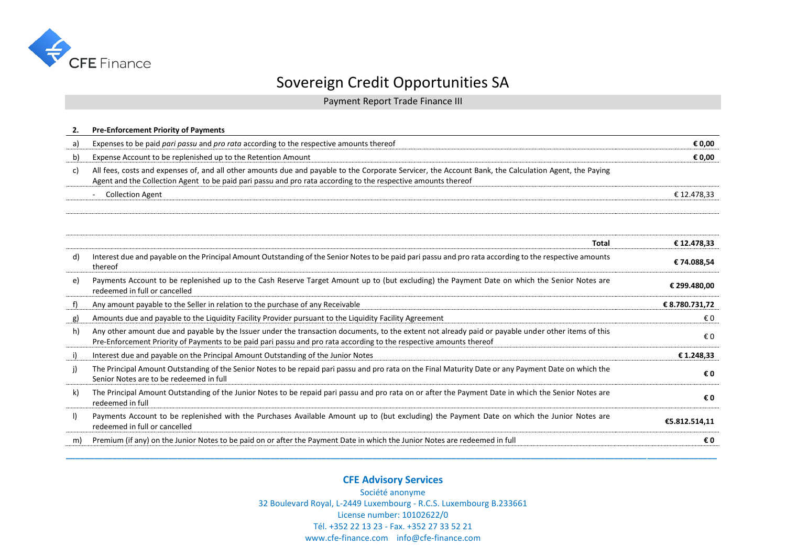

Payment Report Trade Finance III

| 2.           | <b>Pre-Enforcement Priority of Payments</b>                                                                                                                                                                                                                                |                |
|--------------|----------------------------------------------------------------------------------------------------------------------------------------------------------------------------------------------------------------------------------------------------------------------------|----------------|
| a)           | Expenses to be paid pari passu and pro rata according to the respective amounts thereof                                                                                                                                                                                    | € 0,00         |
| b)           | Expense Account to be replenished up to the Retention Amount                                                                                                                                                                                                               | € 0.00         |
| c)           | All fees, costs and expenses of, and all other amounts due and payable to the Corporate Servicer, the Account Bank, the Calculation Agent, the Paying<br>Agent and the Collection Agent to be paid pari passu and pro rata according to the respective amounts thereof     |                |
|              | <b>Collection Agent</b><br>$\overline{\phantom{a}}$                                                                                                                                                                                                                        | € 12.478,33    |
|              |                                                                                                                                                                                                                                                                            |                |
|              | <b>Total</b>                                                                                                                                                                                                                                                               | €12.478,33     |
| d)           | Interest due and payable on the Principal Amount Outstanding of the Senior Notes to be paid pari passu and pro rata according to the respective amounts<br>thereof                                                                                                         | €74.088,54     |
| e)           | Payments Account to be replenished up to the Cash Reserve Target Amount up to (but excluding) the Payment Date on which the Senior Notes are<br>redeemed in full or cancelled                                                                                              | € 299.480,00   |
| f)           | Any amount payable to the Seller in relation to the purchase of any Receivable                                                                                                                                                                                             | € 8.780.731,72 |
| g)           | Amounts due and payable to the Liquidity Facility Provider pursuant to the Liquidity Facility Agreement                                                                                                                                                                    | €0             |
| h)           | Any other amount due and payable by the Issuer under the transaction documents, to the extent not already paid or payable under other items of this<br>Pre-Enforcement Priority of Payments to be paid pari passu and pro rata according to the respective amounts thereof | € 0            |
| i)           | Interest due and payable on the Principal Amount Outstanding of the Junior Notes                                                                                                                                                                                           | €1.248,33      |
| i)           | The Principal Amount Outstanding of the Senior Notes to be repaid pari passu and pro rata on the Final Maturity Date or any Payment Date on which the<br>Senior Notes are to be redeemed in full                                                                           | € 0            |
| k)           | The Principal Amount Outstanding of the Junior Notes to be repaid pari passu and pro rata on or after the Payment Date in which the Senior Notes are<br>redeemed in full                                                                                                   | €0             |
| $\mathbf{I}$ | Payments Account to be replenished with the Purchases Available Amount up to (but excluding) the Payment Date on which the Junior Notes are<br>redeemed in full or cancelled                                                                                               | €5.812.514,11  |
| m)           | Premium (if any) on the Junior Notes to be paid on or after the Payment Date in which the Junior Notes are redeemed in full                                                                                                                                                | €0             |

### **CFE Advisory Services**

**\_\_\_\_\_\_\_\_\_\_\_\_\_\_\_\_\_\_\_\_\_\_\_\_\_\_\_\_\_\_\_\_\_\_\_\_\_\_\_\_\_\_\_\_\_\_\_\_\_\_\_\_\_\_\_\_\_\_\_\_\_\_\_\_\_\_\_\_\_\_\_\_\_\_\_\_\_\_\_\_\_\_\_\_\_\_\_\_\_\_\_\_\_\_\_\_\_\_\_\_\_\_\_\_\_\_\_\_\_\_\_\_\_\_\_\_\_\_\_\_\_\_\_\_\_\_\_\_\_\_\_\_\_\_\_\_\_\_\_\_**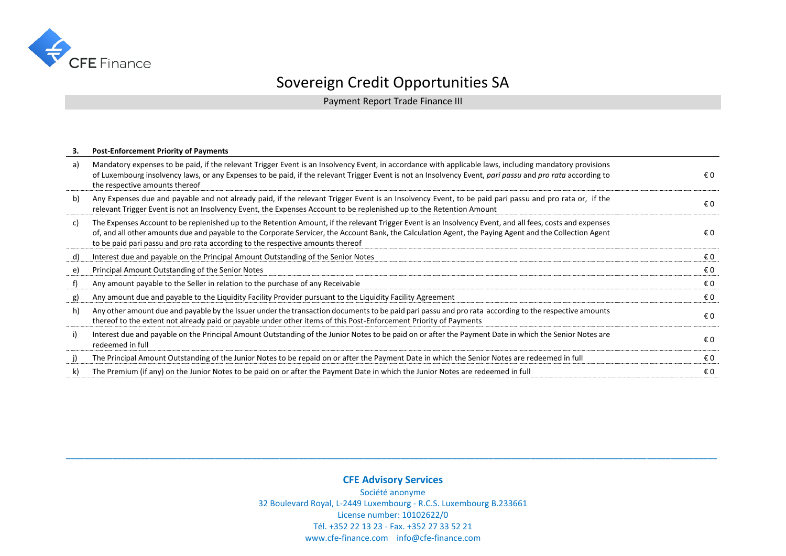

Payment Report Trade Finance III

#### **3. Post-Enforcement Priority of Payments**

| a) | Mandatory expenses to be paid, if the relevant Trigger Event is an Insolvency Event, in accordance with applicable laws, including mandatory provisions<br>of Luxembourg insolvency laws, or any Expenses to be paid, if the relevant Trigger Event is not an Insolvency Event, pari passu and pro rata according to<br>the respective amounts thereof                                                 | €0  |
|----|--------------------------------------------------------------------------------------------------------------------------------------------------------------------------------------------------------------------------------------------------------------------------------------------------------------------------------------------------------------------------------------------------------|-----|
| b) | Any Expenses due and payable and not already paid, if the relevant Trigger Event is an Insolvency Event, to be paid pari passu and pro rata or, if the<br>relevant Trigger Event is not an Insolvency Event, the Expenses Account to be replenished up to the Retention Amount                                                                                                                         | € 0 |
| C) | The Expenses Account to be replenished up to the Retention Amount, if the relevant Trigger Event is an Insolvency Event, and all fees, costs and expenses<br>of, and all other amounts due and payable to the Corporate Servicer, the Account Bank, the Calculation Agent, the Paying Agent and the Collection Agent<br>to be paid pari passu and pro rata according to the respective amounts thereof | €0  |
| d) | Interest due and payable on the Principal Amount Outstanding of the Senior Notes                                                                                                                                                                                                                                                                                                                       | € 0 |
| e) | Principal Amount Outstanding of the Senior Notes                                                                                                                                                                                                                                                                                                                                                       | € 0 |
| f) | Any amount payable to the Seller in relation to the purchase of any Receivable                                                                                                                                                                                                                                                                                                                         | € 0 |
| g) | Any amount due and payable to the Liquidity Facility Provider pursuant to the Liquidity Facility Agreement                                                                                                                                                                                                                                                                                             | € 0 |
| h) | Any other amount due and payable by the Issuer under the transaction documents to be paid pari passu and pro rata according to the respective amounts<br>thereof to the extent not already paid or payable under other items of this Post-Enforcement Priority of Payments                                                                                                                             | € 0 |
| i) | Interest due and payable on the Principal Amount Outstanding of the Junior Notes to be paid on or after the Payment Date in which the Senior Notes are<br>redeemed in full                                                                                                                                                                                                                             | € 0 |
| i) | The Principal Amount Outstanding of the Junior Notes to be repaid on or after the Payment Date in which the Senior Notes are redeemed in full                                                                                                                                                                                                                                                          | €0  |
| k) | The Premium (if any) on the Junior Notes to be paid on or after the Payment Date in which the Junior Notes are redeemed in full                                                                                                                                                                                                                                                                        | € 0 |

### **CFE Advisory Services**

**\_\_\_\_\_\_\_\_\_\_\_\_\_\_\_\_\_\_\_\_\_\_\_\_\_\_\_\_\_\_\_\_\_\_\_\_\_\_\_\_\_\_\_\_\_\_\_\_\_\_\_\_\_\_\_\_\_\_\_\_\_\_\_\_\_\_\_\_\_\_\_\_\_\_\_\_\_\_\_\_\_\_\_\_\_\_\_\_\_\_\_\_\_\_\_\_\_\_\_\_\_\_\_\_\_\_\_\_\_\_\_\_\_\_\_\_\_\_\_\_\_\_\_\_\_\_\_\_\_\_\_\_\_\_\_\_\_\_\_\_**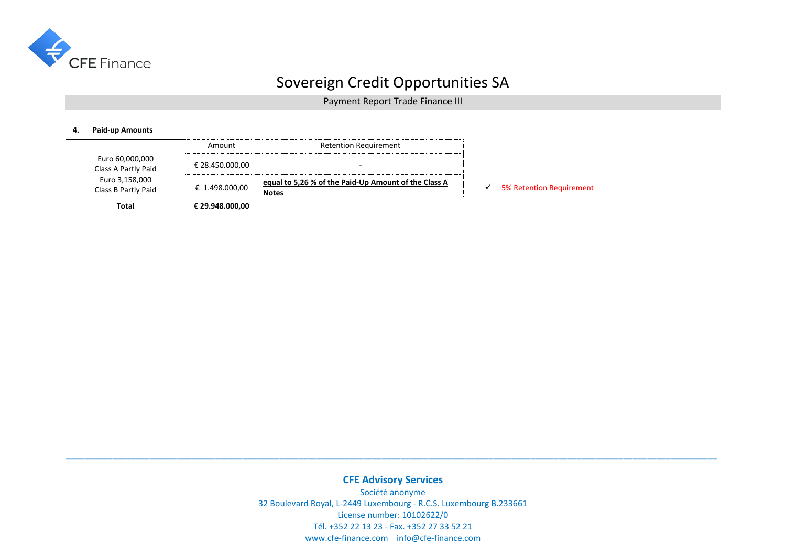

Payment Report Trade Finance III

#### **4. Paid-up Amounts**

|                                        | Amount          | <b>Retention Requirement</b>                                         |                                 |
|----------------------------------------|-----------------|----------------------------------------------------------------------|---------------------------------|
| Euro 60,000,000<br>Class A Partly Paid | € 28.450.000,00 | -                                                                    |                                 |
| Euro 3,158,000<br>Class B Partly Paid  | € 1.498.000,00  | equal to 5,26 % of the Paid-Up Amount of the Class A<br><b>Notes</b> | <b>5% Retention Requirement</b> |
| Total                                  | € 29.948.000,00 |                                                                      |                                 |

### **CFE Advisory Services**

**\_\_\_\_\_\_\_\_\_\_\_\_\_\_\_\_\_\_\_\_\_\_\_\_\_\_\_\_\_\_\_\_\_\_\_\_\_\_\_\_\_\_\_\_\_\_\_\_\_\_\_\_\_\_\_\_\_\_\_\_\_\_\_\_\_\_\_\_\_\_\_\_\_\_\_\_\_\_\_\_\_\_\_\_\_\_\_\_\_\_\_\_\_\_\_\_\_\_\_\_\_\_\_\_\_\_\_\_\_\_\_\_\_\_\_\_\_\_\_\_\_\_\_\_\_\_\_\_\_\_\_\_\_\_\_\_\_\_\_\_**